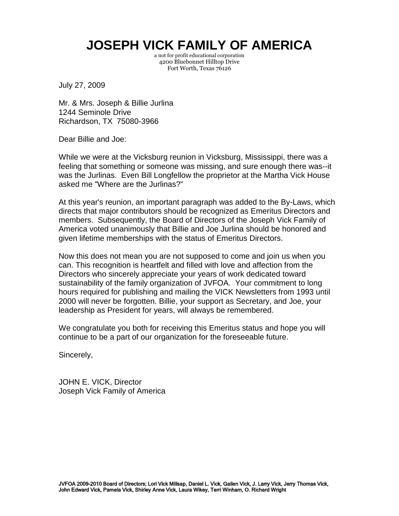a not for profit educational corporation 4200 Bluebonnet Hilltop Drive Fort Worth, Texas 76126

July 27, 2009

Mr. & Mrs. Joseph & Billie Jurlina 1244 Seminole Drive Richardson, TX 75080-3966

Dear Billie and Joe:

While we were at the Vicksburg reunion in Vicksburg, Mississippi, there was a feeling that something or someone was missing, and sure enough there was--it was the Jurlinas. Even Bill Longfellow the proprietor at the Martha Vick House asked me "Where are the Jurlinas?"

At this year's reunion, an important paragraph was added to the By-Laws, which directs that major contributors should be recognized as Emeritus Directors and members. Subsequently, the Board of Directors of the Joseph Vick Family of America voted unanimously that Billie and Joe Jurlina should be honored and given lifetime memberships with the status of Emeritus Directors.

Now this does not mean you are not supposed to come and join us when you can. This recognition is heartfelt and filled with love and affection from the Directors who sincerely appreciate your years of work dedicated toward sustainability of the family organization of JVFOA. Your commitment to long hours required for publishing and mailing the VICK Newsletters from 1993 until 2000 will never be forgotten. Billie, your support as Secretary, and Joe, your leadership as President for years, will always be remembered.

We congratulate you both for receiving this Emeritus status and hope you will continue to be a part of our organization for the foreseeable future.

Sincerely,

JOHN E. VICK, Director Joseph Vick Family of America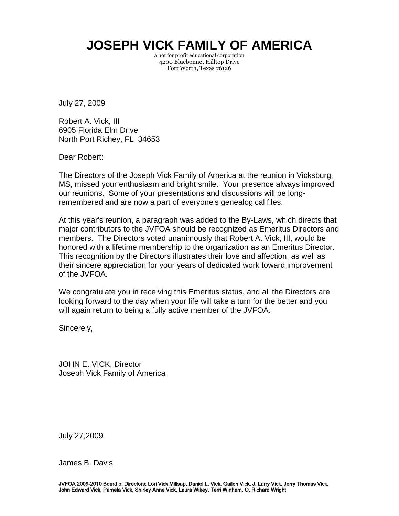a not for profit educational corporation 4200 Bluebonnet Hilltop Drive Fort Worth, Texas 76126

July 27, 2009

Robert A. Vick, III 6905 Florida Elm Drive North Port Richey, FL 34653

Dear Robert:

The Directors of the Joseph Vick Family of America at the reunion in Vicksburg, MS, missed your enthusiasm and bright smile. Your presence always improved our reunions. Some of your presentations and discussions will be longremembered and are now a part of everyone's genealogical files.

At this year's reunion, a paragraph was added to the By-Laws, which directs that major contributors to the JVFOA should be recognized as Emeritus Directors and members. The Directors voted unanimously that Robert A. Vick, III, would be honored with a lifetime membership to the organization as an Emeritus Director. This recognition by the Directors illustrates their love and affection, as well as their sincere appreciation for your years of dedicated work toward improvement of the JVFOA.

We congratulate you in receiving this Emeritus status, and all the Directors are looking forward to the day when your life will take a turn for the better and you will again return to being a fully active member of the JVFOA.

Sincerely,

JOHN E. VICK, Director Joseph Vick Family of America

July 27,2009

James B. Davis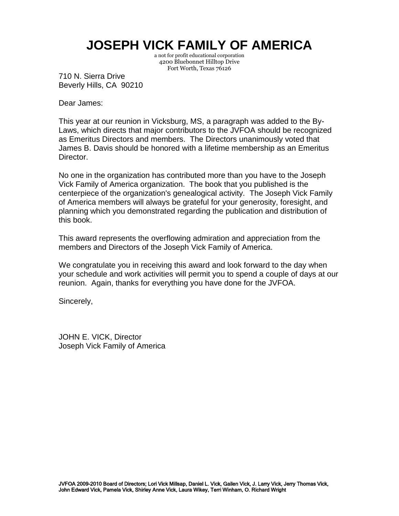a not for profit educational corporation 4200 Bluebonnet Hilltop Drive Fort Worth, Texas 76126

710 N. Sierra Drive Beverly Hills, CA 90210

Dear James:

This year at our reunion in Vicksburg, MS, a paragraph was added to the By-Laws, which directs that major contributors to the JVFOA should be recognized as Emeritus Directors and members. The Directors unanimously voted that James B. Davis should be honored with a lifetime membership as an Emeritus Director.

No one in the organization has contributed more than you have to the Joseph Vick Family of America organization. The book that you published is the centerpiece of the organization's genealogical activity. The Joseph Vick Family of America members will always be grateful for your generosity, foresight, and planning which you demonstrated regarding the publication and distribution of this book.

This award represents the overflowing admiration and appreciation from the members and Directors of the Joseph Vick Family of America.

We congratulate you in receiving this award and look forward to the day when your schedule and work activities will permit you to spend a couple of days at our reunion. Again, thanks for everything you have done for the JVFOA.

Sincerely,

JOHN E. VICK, Director Joseph Vick Family of America